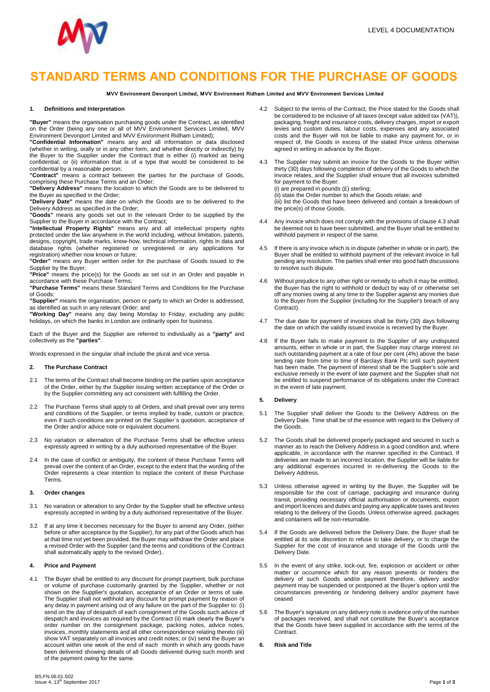

# **STANDARD TERMS AND CONDITIONS FOR THE PURCHASE OF GOODS**

**MVV Environment Devonport Limited, MVV Environment Ridham Limited and MVV Environment Services Limited**

#### **1. Definitions and Interpretation**

**"Buyer"** means the organisation purchasing goods under the Contract, as identified on the Order (being any one or all of MVV Environment Services Limited, MVV Environment Devonport Limited and MVV Environment Ridham Limited);

**"Confidential Information"** means any and all information or data disclosed (whether in writing, orally or in any other form, and whether directly or indirectly) by the Buyer to the Supplier under the Contract that is either (i) marked as being confidential; or (ii) information that is of a type that would be considered to be confidential by a reasonable person;

**"Contract"** means a contract between the parties for the purchase of Goods, comprising these Purchase Terms and an Order; **"Delivery Address"** means the location to which the Goods are to be delivered to

the Buyer as specified in the Order;

**"Delivery Date"** means the date on which the Goods are to be delivered to the Delivery Address as specified in the Order;

**"Goods"** means any goods set out in the relevant Order to be supplied by the Supplier to the Buyer in accordance with the Contract;

**"Intellectual Property Rights"** means any and all intellectual property rights protected under the law anywhere in the world including, without limitation, patents, designs, copyright, trade marks, know-how, technical information, rights in data and database rights (whether registered or unregistered or any applications for

registration) whether now known or future; **"Order"** means any Buyer written order for the purchase of Goods issued to the Supplier by the Buyer;

**"Price"** means the price(s) for the Goods as set out in an Order and payable in accordance with these Purchase Terms;

**"Purchase Terms"** means these Standard Terms and Conditions for the Purchase of Goods;

**"Supplier"** means the organisation, person or party to which an Order is addressed, as identified as such in any relevant Order; and

**"Working Day"** means any day being Monday to Friday, excluding any public holidays, on which the banks in London are ordinarily open for business.

Each of the Buyer and the Supplier are referred to individually as a **"party"** and collectively as the **"parties"**.

Words expressed in the singular shall include the plural and vice versa.

# **2. The Purchase Contract**

- 2.1 The terms of the Contract shall become binding on the parties upon acceptance of the Order, either by the Supplier issuing written acceptance of the Order or by the Supplier committing any act consistent with fulfilling the Order.
- 2.2 The Purchase Terms shall apply to all Orders, and shall prevail over any terms and conditions of the Supplier, or terms implied by trade, custom or practice, even if such conditions are printed on the Supplier`s quotation, acceptance of the Order and/or advice note or equivalent document.
- 2.3 No variation or alternation of the Purchase Terms shall be effective unless expressly agreed in writing by a duly authorised representative of the Buyer.
- 2.4 In the case of conflict or ambiguity, the content of these Purchase Terms will prevail over the content of an Order, except to the extent that the wording of the Order represents a clear intention to replace the content of these Purchase Terms.

#### **3. Order changes**

- 3.1 No variation or alteration to any Order by the Supplier shall be effective unless expressly accepted in writing by a duly authorised representative of the Buyer.
- 3.2 If at any time it becomes necessary for the Buyer to amend any Order, (either before or after acceptance by the Supplier), for any part of the Goods which has at that time not yet been provided, the Buyer may withdraw the Order and place a revised Order with the Supplier (and the terms and conditions of the Contract shall automatically apply to the revised Order)..

# **4. Price and Payment**

4.1 The Buyer shall be entitled to any discount for prompt payment, bulk purchase or volume of purchase customarily granted by the Supplier, whether or not shown on the Supplier's quotation, acceptance of an Order or terms of sale. The Supplier shall not withhold any discount for prompt payment by reason of any delay in payment arising out of any failure on the part of the Supplier to: (i) send on the day of despatch of each consignment of the Goods such advice of despatch and invoices as required by the Contract (ii) mark clearly the Buyer's order number on the consignment package, packing notes, advice notes, invoices, monthly statements and all other correspondence relating thereto (iii) show VAT separately on all invoices and credit notes; or (iv) send the Buyer an account within one week of the end of each month in which any goods have been delivered showing details of all Goods delivered during such month and of the payment owing for the same.

- 4.2 Subject to the terms of the Contract, the Price stated for the Goods shall be considered to be inclusive of all taxes (except value added tax (VAT)), packaging, freight and insurance costs, delivery charges, import or export levies and custom duties, labour costs, expenses and any associated costs and the Buyer will not be liable to make any payment for, or in respect of, the Goods in excess of the stated Price unless otherwise agreed in writing in advance by the Buyer.
- 4.3 The Supplier may submit an invoice for the Goods to the Buyer within thirty (30) days following completion of delivery of the Goods to which the invoice relates, and the Supplier shall ensure that all invoices submitted for payment to the Buyer:

(i) are prepared in pounds (£) sterling;

(ii) state the Order number to which the Goods relate; and (iii) list the Goods that have been delivered and contain a breakdown of the price(s) of those Goods.

- 4.4 Any invoice which does not comply with the provisions of clause 4.3 shall be deemed not to have been submitted, and the Buyer shall be entitled to withhold payment in respect of the same.
- 4.5 If there is any invoice which is in dispute (whether in whole or in part), the Buyer shall be entitled to withhold payment of the relevant invoice in full pending any resolution. The parties shall enter into good faith discussions to resolve such dispute.
- 4.6 Without prejudice to any other right or remedy to which it may be entitled, the Buyer has the right to withhold or deduct by way of or otherwise set off any monies owing at any time to the Supplier against any monies due to the Buyer from the Supplier (including for the Supplier's breach of any Contract).
- 4.7 The due date for payment of invoices shall be thirty (30) days following the date on which the validly issued invoice is received by the Buyer.
- 4.8 If the Buyer fails to make payment to the Supplier of any undisputed amounts, either in whole or in part, the Supplier may charge interest on such outstanding payment at a rate of four per cent (4%) above the base lending rate from time to time of Barclays Bank Plc until such payment has been made. The payment of interest shall be the Supplier's sole and exclusive remedy in the event of late payment and the Supplier shall not be entitled to suspend performance of its obligations under the Contract in the event of late payment.
- **5. Delivery**
- 5.1 The Supplier shall deliver the Goods to the Delivery Address on the Delivery Date. Time shall be of the essence with regard to the Delivery of the Goods.
- 5.2 The Goods shall be delivered properly packaged and secured in such a manner as to reach the Delivery Address in a good condition and, where applicable, in accordance with the manner specified in the Contract. If deliveries are made to an incorrect location, the Supplier will be liable for any additional expenses incurred in re-delivering the Goods to the Delivery Address.
- Unless otherwise agreed in writing by the Buyer, the Supplier will be responsible for the cost of carriage, packaging and insurance during transit, providing necessary official authorisation or documents, export and import licences and duties and paying any applicable taxes and levies relating to the delivery of the Goods. Unless otherwise agreed, packages and containers will be non-returnable.
- 5.4 If the Goods are delivered before the Delivery Date, the Buyer shall be entitled at its sole discretion to refuse to take delivery, or to charge the Supplier for the cost of insurance and storage of the Goods until the Delivery Date.
- 5.5 In the event of any strike, lock-out, fire, explosion or accident or other matter or occurrence which for any reason prevents or hinders the delivery of such Goods and/or payment therefore, delivery and/or payment may be suspended or postponed at the Buyer's option until the circumstances preventing or hindering delivery and/or payment have ceased
- 5.6 The Buyer's signature on any delivery note is evidence only of the number of packages received, and shall not constitute the Buyer's acceptance that the Goods have been supplied in accordance with the terms of the **Contract**
- **6. Risk and Title**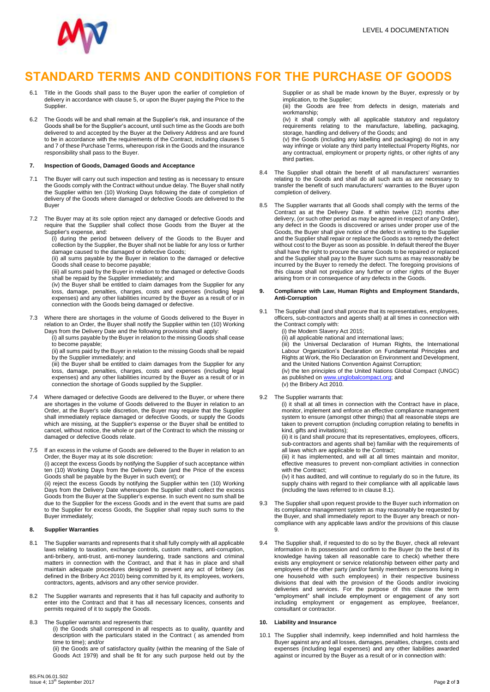

# **STANDARD TERMS AND CONDITIONS FOR THE PURCHASE OF GOODS**

- 6.1 Title in the Goods shall pass to the Buyer upon the earlier of completion of delivery in accordance with clause 5, or upon the Buyer paying the Price to the Supplier.
- 6.2 The Goods will be and shall remain at the Supplier's risk, and insurance of the Goods shall be for the Supplier's account, until such time as the Goods are both delivered to and accepted by the Buyer at the Delivery Address and are found to be in accordance with the requirements of the Contract, including clauses 5 and 7 of these Purchase Terms, whereupon risk in the Goods and the insurance responsibility shall pass to the Buyer.

## **7. Inspection of Goods, Damaged Goods and Acceptance**

- 7.1 The Buyer will carry out such inspection and testing as is necessary to ensure the Goods comply with the Contract without undue delay. The Buyer shall notify the Supplier within ten (10) Working Days following the date of completion of delivery of the Goods where damaged or defective Goods are delivered to the Buyer
- 7.2 The Buyer may at its sole option reject any damaged or defective Goods and require that the Supplier shall collect those Goods from the Buyer at the Supplier's expense, and:

(i) during the period between delivery of the Goods to the Buyer and collection by the Supplier, the Buyer shall not be liable for any loss or further damage caused to the damaged or defective Goods;

(ii) all sums payable by the Buyer in relation to the damaged or defective Goods shall cease to become payable;

(iii) all sums paid by the Buyer in relation to the damaged or defective Goods shall be repaid by the Supplier immediately; and

(iv) the Buyer shall be entitled to claim damages from the Supplier for any loss, damage, penalties, charges, costs and expenses (including legal expenses) and any other liabilities incurred by the Buyer as a result of or in connection with the Goods being damaged or defective.

- 7.3 Where there are shortages in the volume of Goods delivered to the Buyer in relation to an Order, the Buyer shall notify the Supplier within ten (10) Working Days from the Delivery Date and the following provisions shall apply:
	- (i) all sums payable by the Buyer in relation to the missing Goods shall cease to become payable;

(ii) all sums paid by the Buyer in relation to the missing Goods shall be repaid by the Supplier immediately; and

(iii) the Buyer shall be entitled to claim damages from the Supplier for any loss, damage, penalties, charges, costs and expenses (including legal expenses) and any other liabilities incurred by the Buyer as a result of or in connection the shortage of Goods supplied by the Supplier.

- 7.4 Where damaged or defective Goods are delivered to the Buyer, or where there are shortages in the volume of Goods delivered to the Buyer in relation to an Order, at the Buyer's sole discretion, the Buyer may require that the Supplier shall immediately replace damaged or defective Goods, or supply the Goods which are missing, at the Supplier's expense or the Buyer shall be entitled to cancel, without notice, the whole or part of the Contract to which the missing or damaged or defective Goods relate.
- 7.5 If an excess in the volume of Goods are delivered to the Buyer in relation to an Order, the Buyer may at its sole discretion: (i) accept the excess Goods by notifying the Supplier of such acceptance within ten (10) Working Days from the Delivery Date (and the Price of the excess

Goods shall be payable by the Buyer in such event); or (ii) reject the excess Goods by notifying the Supplier within ten (10) Working Days from the Delivery Date whereupon the Supplier shall collect the excess Goods from the Buyer at the Supplier's expense. In such event no sum shall be due to the Supplier for the excess Goods and in the event that sums are paid to the Supplier for excess Goods, the Supplier shall repay such sums to the Buyer immediately;

#### **8. Supplier Warranties**

- 8.1 The Supplier warrants and represents that it shall fully comply with all applicable laws relating to taxation, exchange controls, custom matters, anti-corruption, anti-bribery, anti-trust, anti-money laundering, trade sanctions and criminal matters in connection with the Contract, and that it has in place and shall maintain adequate procedures designed to prevent any act of bribery (as defined in the Bribery Act 2010) being committed by it, its employees, workers, contractors, agents, advisors and any other service provider.
- 8.2 The Supplier warrants and represents that it has full capacity and authority to enter into the Contract and that it has all necessary licences, consents and permits required of it to supply the Goods.

8.3 The Supplier warrants and represents that:

(i) the Goods shall correspond in all respects as to quality, quantity and description with the particulars stated in the Contract ( as amended from time to time); and/or

(ii) the Goods are of satisfactory quality (within the meaning of the Sale of Goods Act 1979) and shall be fit for any such purpose held out by the Supplier or as shall be made known by the Buyer, expressly or by implication, to the Supplier;

(iii) the Goods are free from defects in design, materials and workmanship;

(iv) it shall comply with all applicable statutory and regulatory requirements relating to the manufacture, labelling, packaging, storage, handling and delivery of the Goods; and

(v) the Goods (including any labelling and packaging) do not in any way infringe or violate any third party Intellectual Property Rights, nor any contractual, employment or property rights, or other rights of any third parties.

- 8.4 The Supplier shall obtain the benefit of all manufacturers' warranties relating to the Goods and shall do all such acts as are necessary to transfer the benefit of such manufacturers' warranties to the Buyer upon completion of delivery.
- 8.5 The Supplier warrants that all Goods shall comply with the terms of the Contract as at the Delivery Date. If within twelve (12) months after delivery, (or such other period as may be agreed in respect of any Order), any defect in the Goods is discovered or arises under proper use of the Goods, the Buyer shall give notice of the defect in writing to the Supplier and the Supplier shall repair or replace the Goods as to remedy the defect without cost to the Buyer as soon as possible. In default thereof the Buyer shall have the right to procure the same Goods to be repaired or replaced and the Supplier shall pay to the Buyer such sums as may reasonably be incurred by the Buyer to remedy the defect. The foregoing provisions of this clause shall not prejudice any further or other rights of the Buyer arising from or in consequence of any defects in the Goods.

#### **9. Compliance with Law, Human Rights and Employment Standards, Anti-Corruption**

9.1 The Supplier shall (and shall procure that its representatives, employees, officers, sub-contractors and agents shall) at all times in connection with the Contract comply with:

(i) the Modern Slavery Act 2015;

(ii) all applicable national and international laws;

(iii) the Universal Declaration of Human Rights, the International Labour Organization's Declaration on Fundamental Principles and Rights at Work, the Rio Declaration on Environment and Development, and the United Nations Convention Against Corruption; (iv) the ten principles of the United Nations Global Compact (UNGC)

as published o[n www.unglobalcompact.org;](http://www.unglobalcompact.org/) and (v) the Bribery Act 2010.

## 9.2 The Supplier warrants that:

(i) it shall at all times in connection with the Contract have in place, monitor, implement and enforce an effective compliance management system to ensure (amongst other things) that all reasonable steps are taken to prevent corruption (including corruption relating to benefits in kind, gifts and invitations);

(ii) it is (and shall procure that its representatives, employees, officers, sub-contractors and agents shall be) familiar with the requirements of all laws which are applicable to the Contract;

(iii) it has implemented, and will at all times maintain and monitor, effective measures to prevent non-compliant activities in connection with the Contract;

(iv) it has audited, and will continue to regularly do so in the future, its supply chains with regard to their compliance with all applicable laws (including the laws referred to in clause 8.1).

- 9.3 The Supplier shall upon request provide to the Buyer such information on its compliance management system as may reasonably be requested by the Buyer, and shall immediately report to the Buyer any breach or noncompliance with any applicable laws and/or the provisions of this clause 9.
- 9.4 The Supplier shall, if requested to do so by the Buyer, check all relevant information in its possession and confirm to the Buyer (to the best of its knowledge having taken all reasonable care to check) whether there exists any employment or service relationship between either party and employees of the other party (and/or family members or persons living in one household with such employees) in their respective business divisions that deal with the provision of the Goods and/or invoicing deliveries and services. For the purpose of this clause the term "employment" shall include employment or engagement of any sort including employment or engagement as employee, freelancer, consultant or contractor.

#### **10. Liability and Insurance**

10.1 The Supplier shall indemnify, keep indemnified and hold harmless the Buyer against any and all losses, damages, penalties, charges, costs and expenses (including legal expenses) and any other liabilities awarded against or incurred by the Buyer as a result of or in connection with: